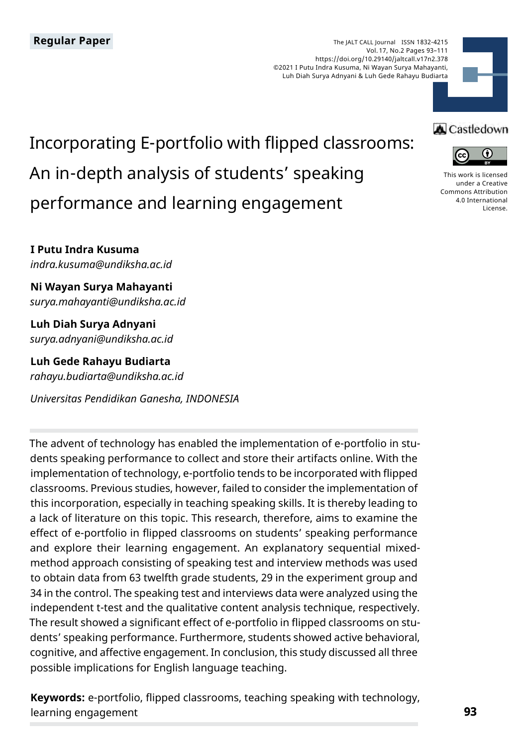The JALT CALL Journal ISSN 1832-4215 Vol. 17, No.2 Pages 93–111 https://doi.org/10.29140/jaltcall.v17n2.378 ©2021 I Putu Indra Kusuma, Ni Wayan Surya Mahayanti, Luh Diah Surya Adnyani & Luh Gede Rahayu Budiarta



# Incorporating E-portfolio with flipped classrooms: An in-depth analysis of students' speaking performance and learning engagement

**I Putu Indra Kusuma** *indra.kusuma@undiksha.ac.id*

**Ni Wayan Surya Mahayanti** *surya.mahayanti@undiksha.ac.id*

**Luh Diah Surya Adnyani** *surya.adnyani@undiksha.ac.id*

**Luh Gede Rahayu Budiarta** *rahayu.budiarta@undiksha.ac.id*

*Universitas Pendidikan Ganesha, INDONESIA*

The advent of technology has enabled the implementation of e-portfolio in students speaking performance to collect and store their artifacts online. With the implementation of technology, e-portfolio tends to be incorporated with flipped classrooms. Previous studies, however, failed to consider the implementation of this incorporation, especially in teaching speaking skills. It is thereby leading to a lack of literature on this topic. This research, therefore, aims to examine the effect of e-portfolio in flipped classrooms on students' speaking performance and explore their learning engagement. An explanatory sequential mixedmethod approach consisting of speaking test and interview methods was used to obtain data from 63 twelfth grade students, 29 in the experiment group and 34 in the control. The speaking test and interviews data were analyzed using the independent t-test and the qualitative content analysis technique, respectively. The result showed a significant effect of e-portfolio in flipped classrooms on students' speaking performance. Furthermore, students showed active behavioral, cognitive, and affective engagement. In conclusion, this study discussed all three possible implications for English language teaching.

**Keywords:** e-portfolio, flipped classrooms, teaching speaking with technology, learning engagement

# **A** Castledown



[This work is licensed](https://creativecommons.org/licenses/by/4.0/)  [under a Creative](https://creativecommons.org/licenses/by/4.0/)  [Commons Attribution](https://creativecommons.org/licenses/by/4.0/)  [4.0 International](https://creativecommons.org/licenses/by/4.0/)  [License](https://creativecommons.org/licenses/by/4.0/).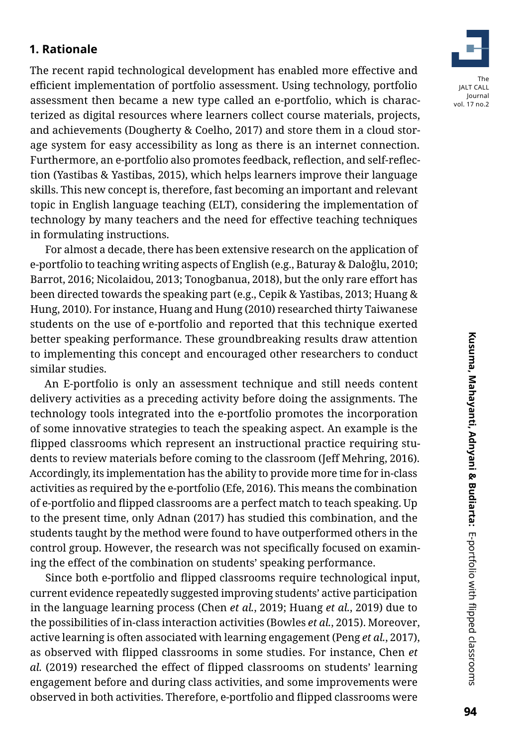#### **1. Rationale**

The recent rapid technological development has enabled more effective and efficient implementation of portfolio assessment. Using technology, portfolio assessment then became a new type called an e-portfolio, which is characterized as digital resources where learners collect course materials, projects, and achievements (Dougherty & Coelho, 2017) and store them in a cloud storage system for easy accessibility as long as there is an internet connection. Furthermore, an e-portfolio also promotes feedback, reflection, and self-reflection (Yastibas & Yastibas, 2015), which helps learners improve their language skills. This new concept is, therefore, fast becoming an important and relevant topic in English language teaching (ELT), considering the implementation of technology by many teachers and the need for effective teaching techniques in formulating instructions.

For almost a decade, there has been extensive research on the application of e-portfolio to teaching writing aspects of English (e.g., Baturay & Daloǧlu, 2010; Barrot, 2016; Nicolaidou, 2013; Tonogbanua, 2018), but the only rare effort has been directed towards the speaking part (e.g., Cepik & Yastibas, 2013; Huang & Hung, 2010). For instance, Huang and Hung (2010) researched thirty Taiwanese students on the use of e-portfolio and reported that this technique exerted better speaking performance. These groundbreaking results draw attention to implementing this concept and encouraged other researchers to conduct similar studies.

An E-portfolio is only an assessment technique and still needs content delivery activities as a preceding activity before doing the assignments. The technology tools integrated into the e-portfolio promotes the incorporation of some innovative strategies to teach the speaking aspect. An example is the flipped classrooms which represent an instructional practice requiring students to review materials before coming to the classroom (Jeff Mehring, 2016). Accordingly, its implementation has the ability to provide more time for in-class activities as required by the e-portfolio (Efe, 2016). This means the combination of e-portfolio and flipped classrooms are a perfect match to teach speaking. Up to the present time, only Adnan (2017) has studied this combination, and the students taught by the method were found to have outperformed others in the control group. However, the research was not specifically focused on examining the effect of the combination on students' speaking performance.

Since both e-portfolio and flipped classrooms require technological input, current evidence repeatedly suggested improving students' active participation in the language learning process (Chen *et al.*, 2019; Huang *et al.*, 2019) due to the possibilities of in-class interaction activities (Bowles *et al.*, 2015). Moreover, active learning is often associated with learning engagement (Peng *et al.*, 2017), as observed with flipped classrooms in some studies. For instance, Chen *et al.* (2019) researched the effect of flipped classrooms on students' learning engagement before and during class activities, and some improvements were observed in both activities. Therefore, e-portfolio and flipped classrooms were

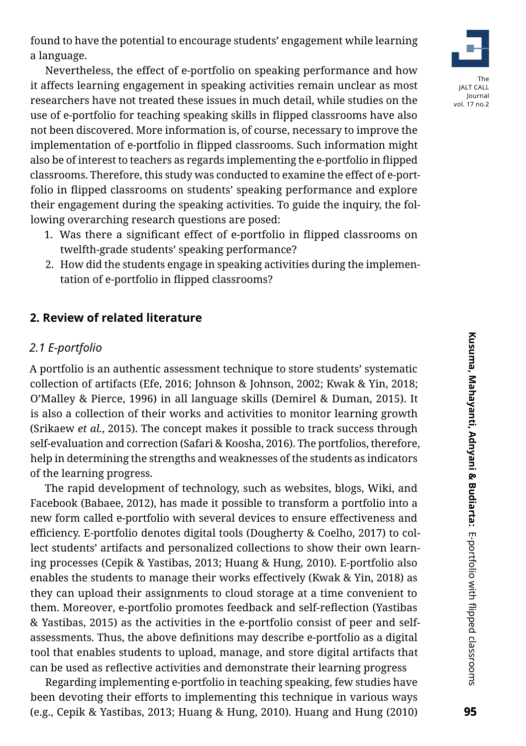Nevertheless, the effect of e-portfolio on speaking performance and how it affects learning engagement in speaking activities remain unclear as most researchers have not treated these issues in much detail, while studies on the use of e-portfolio for teaching speaking skills in flipped classrooms have also not been discovered. More information is, of course, necessary to improve the implementation of e-portfolio in flipped classrooms. Such information might also be of interest to teachers as regards implementing the e-portfolio in flipped classrooms. Therefore, this study was conducted to examine the effect of e-portfolio in flipped classrooms on students' speaking performance and explore their engagement during the speaking activities. To guide the inquiry, the following overarching research questions are posed:

- 1. Was there a significant effect of e-portfolio in flipped classrooms on twelfth-grade students' speaking performance?
- 2. How did the students engage in speaking activities during the implementation of e-portfolio in flipped classrooms?

### **2. Review of related literature**

#### *2.1 E-portfolio*

A portfolio is an authentic assessment technique to store students' systematic collection of artifacts (Efe, 2016; Johnson & Johnson, 2002; Kwak & Yin, 2018; O'Malley & Pierce, 1996) in all language skills (Demirel & Duman, 2015). It is also a collection of their works and activities to monitor learning growth (Srikaew *et al.*, 2015). The concept makes it possible to track success through self-evaluation and correction (Safari & Koosha, 2016). The portfolios, therefore, help in determining the strengths and weaknesses of the students as indicators of the learning progress.

The rapid development of technology, such as websites, blogs, Wiki, and Facebook (Babaee, 2012), has made it possible to transform a portfolio into a new form called e-portfolio with several devices to ensure effectiveness and efficiency. E-portfolio denotes digital tools (Dougherty & Coelho, 2017) to collect students' artifacts and personalized collections to show their own learning processes (Cepik & Yastibas, 2013; Huang & Hung, 2010). E-portfolio also enables the students to manage their works effectively (Kwak & Yin, 2018) as they can upload their assignments to cloud storage at a time convenient to them. Moreover, e-portfolio promotes feedback and self-reflection (Yastibas & Yastibas, 2015) as the activities in the e-portfolio consist of peer and selfassessments. Thus, the above definitions may describe e-portfolio as a digital tool that enables students to upload, manage, and store digital artifacts that can be used as reflective activities and demonstrate their learning progress

Regarding implementing e-portfolio in teaching speaking, few studies have been devoting their efforts to implementing this technique in various ways (e.g., Cepik & Yastibas, 2013; Huang & Hung, 2010). Huang and Hung (2010)

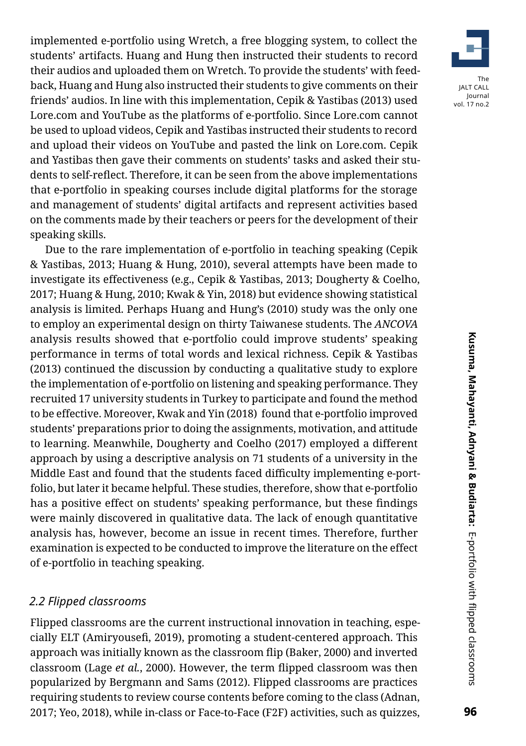implemented e-portfolio using Wretch, a free blogging system, to collect the students' artifacts. Huang and Hung then instructed their students to record their audios and uploaded them on Wretch. To provide the students' with feedback, Huang and Hung also instructed their students to give comments on their friends' audios. In line with this implementation, Cepik & Yastibas (2013) used Lore.com and YouTube as the platforms of e-portfolio. Since Lore.com cannot be used to upload videos, Cepik and Yastibas instructed their students to record and upload their videos on YouTube and pasted the link on Lore.com. Cepik and Yastibas then gave their comments on students' tasks and asked their students to self-reflect. Therefore, it can be seen from the above implementations that e-portfolio in speaking courses include digital platforms for the storage and management of students' digital artifacts and represent activities based on the comments made by their teachers or peers for the development of their speaking skills.

Due to the rare implementation of e-portfolio in teaching speaking (Cepik & Yastibas, 2013; Huang & Hung, 2010), several attempts have been made to investigate its effectiveness (e.g., Cepik & Yastibas, 2013; Dougherty & Coelho, 2017; Huang & Hung, 2010; Kwak & Yin, 2018) but evidence showing statistical analysis is limited. Perhaps Huang and Hung's (2010) study was the only one to employ an experimental design on thirty Taiwanese students. The *ANCOVA* analysis results showed that e-portfolio could improve students' speaking performance in terms of total words and lexical richness. Cepik & Yastibas (2013) continued the discussion by conducting a qualitative study to explore the implementation of e-portfolio on listening and speaking performance. They recruited 17 university students in Turkey to participate and found the method to be effective. Moreover, Kwak and Yin (2018) found that e-portfolio improved students' preparations prior to doing the assignments, motivation, and attitude to learning. Meanwhile, Dougherty and Coelho (2017) employed a different approach by using a descriptive analysis on 71 students of a university in the Middle East and found that the students faced difficulty implementing e-portfolio, but later it became helpful. These studies, therefore, show that e-portfolio has a positive effect on students' speaking performance, but these findings were mainly discovered in qualitative data. The lack of enough quantitative analysis has, however, become an issue in recent times. Therefore, further examination is expected to be conducted to improve the literature on the effect of e-portfolio in teaching speaking.

#### *2.2 Flipped classrooms*

Flipped classrooms are the current instructional innovation in teaching, especially ELT (Amiryousefi, 2019), promoting a student-centered approach. This approach was initially known as the classroom flip (Baker, 2000) and inverted classroom (Lage *et al.*, 2000). However, the term flipped classroom was then popularized by Bergmann and Sams (2012). Flipped classrooms are practices requiring students to review course contents before coming to the class (Adnan, 2017; Yeo, 2018), while in-class or Face-to-Face (F2F) activities, such as quizzes,

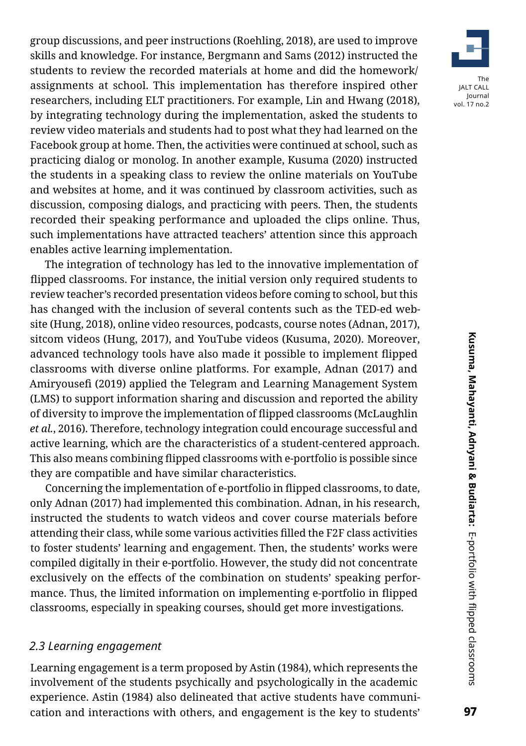group discussions, and peer instructions (Roehling, 2018), are used to improve skills and knowledge. For instance, Bergmann and Sams (2012) instructed the students to review the recorded materials at home and did the homework/ assignments at school. This implementation has therefore inspired other researchers, including ELT practitioners. For example, Lin and Hwang (2018), by integrating technology during the implementation, asked the students to review video materials and students had to post what they had learned on the Facebook group at home. Then, the activities were continued at school, such as practicing dialog or monolog. In another example, Kusuma (2020) instructed the students in a speaking class to review the online materials on YouTube and websites at home, and it was continued by classroom activities, such as discussion, composing dialogs, and practicing with peers. Then, the students recorded their speaking performance and uploaded the clips online. Thus, such implementations have attracted teachers' attention since this approach enables active learning implementation.

The integration of technology has led to the innovative implementation of flipped classrooms. For instance, the initial version only required students to review teacher's recorded presentation videos before coming to school, but this has changed with the inclusion of several contents such as the TED-ed website (Hung, 2018), online video resources, podcasts, course notes (Adnan, 2017), sitcom videos (Hung, 2017), and YouTube videos (Kusuma, 2020). Moreover, advanced technology tools have also made it possible to implement flipped classrooms with diverse online platforms. For example, Adnan (2017) and Amiryousefi (2019) applied the Telegram and Learning Management System (LMS) to support information sharing and discussion and reported the ability of diversity to improve the implementation of flipped classrooms (McLaughlin *et al.*, 2016). Therefore, technology integration could encourage successful and active learning, which are the characteristics of a student-centered approach. This also means combining flipped classrooms with e-portfolio is possible since they are compatible and have similar characteristics.

Concerning the implementation of e-portfolio in flipped classrooms, to date, only Adnan (2017) had implemented this combination. Adnan, in his research, instructed the students to watch videos and cover course materials before attending their class, while some various activities filled the F2F class activities to foster students' learning and engagement. Then, the students' works were compiled digitally in their e-portfolio. However, the study did not concentrate exclusively on the effects of the combination on students' speaking performance. Thus, the limited information on implementing e-portfolio in flipped classrooms, especially in speaking courses, should get more investigations.

#### *2.3 Learning engagement*

Learning engagement is a term proposed by Astin (1984), which represents the involvement of the students psychically and psychologically in the academic experience. Astin (1984) also delineated that active students have communication and interactions with others, and engagement is the key to students'

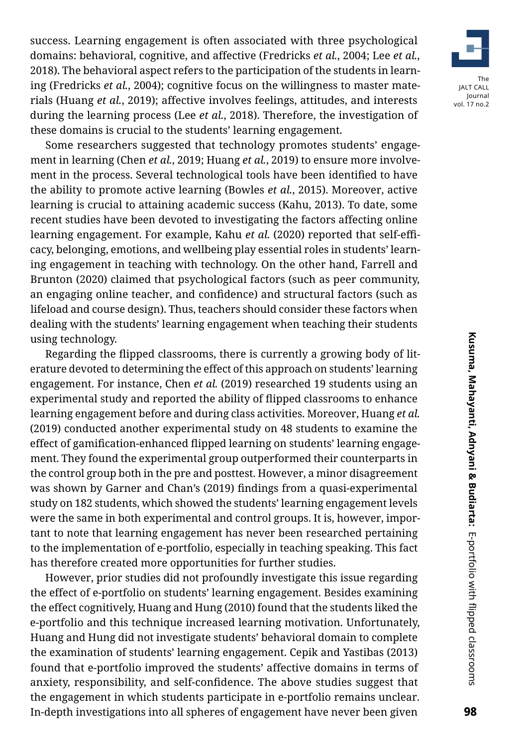success. Learning engagement is often associated with three psychological domains: behavioral, cognitive, and affective (Fredricks *et al.*, 2004; Lee *et al.*, 2018). The behavioral aspect refers to the participation of the students in learning (Fredricks *et al.*, 2004); cognitive focus on the willingness to master materials (Huang *et al.*, 2019); affective involves feelings, attitudes, and interests during the learning process (Lee *et al.*, 2018). Therefore, the investigation of these domains is crucial to the students' learning engagement.

Some researchers suggested that technology promotes students' engagement in learning (Chen *et al.*, 2019; Huang *et al.*, 2019) to ensure more involvement in the process. Several technological tools have been identified to have the ability to promote active learning (Bowles *et al.*, 2015). Moreover, active learning is crucial to attaining academic success (Kahu, 2013). To date, some recent studies have been devoted to investigating the factors affecting online learning engagement. For example, Kahu *et al.* (2020) reported that self-efficacy, belonging, emotions, and wellbeing play essential roles in students' learning engagement in teaching with technology. On the other hand, Farrell and Brunton (2020) claimed that psychological factors (such as peer community, an engaging online teacher, and confidence) and structural factors (such as lifeload and course design). Thus, teachers should consider these factors when dealing with the students' learning engagement when teaching their students using technology.

Regarding the flipped classrooms, there is currently a growing body of literature devoted to determining the effect of this approach on students' learning engagement. For instance, Chen *et al.* (2019) researched 19 students using an experimental study and reported the ability of flipped classrooms to enhance learning engagement before and during class activities. Moreover, Huang *et al.* (2019) conducted another experimental study on 48 students to examine the effect of gamification-enhanced flipped learning on students' learning engagement. They found the experimental group outperformed their counterparts in the control group both in the pre and posttest. However, a minor disagreement was shown by Garner and Chan's (2019) findings from a quasi-experimental study on 182 students, which showed the students' learning engagement levels were the same in both experimental and control groups. It is, however, important to note that learning engagement has never been researched pertaining to the implementation of e-portfolio, especially in teaching speaking. This fact has therefore created more opportunities for further studies.

However, prior studies did not profoundly investigate this issue regarding the effect of e-portfolio on students' learning engagement. Besides examining the effect cognitively, Huang and Hung (2010) found that the students liked the e-portfolio and this technique increased learning motivation. Unfortunately, Huang and Hung did not investigate students' behavioral domain to complete the examination of students' learning engagement. Cepik and Yastibas (2013) found that e-portfolio improved the students' affective domains in terms of anxiety, responsibility, and self-confidence. The above studies suggest that the engagement in which students participate in e-portfolio remains unclear. In-depth investigations into all spheres of engagement have never been given

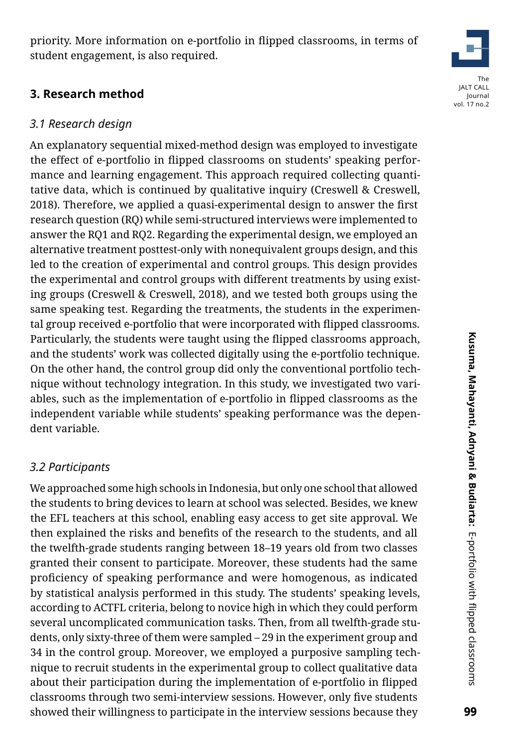99

# **3. Research method**

## *3.1 Research design*

An explanatory sequential mixed-method design was employed to investigate the effect of e-portfolio in flipped classrooms on students' speaking performance and learning engagement. This approach required collecting quantitative data, which is continued by qualitative inquiry (Creswell & Creswell, 2018). Therefore, we applied a quasi-experimental design to answer the first research question (RQ) while semi-structured interviews were implemented to answer the RQ1 and RQ2. Regarding the experimental design, we employed an alternative treatment posttest-only with nonequivalent groups design, and this led to the creation of experimental and control groups. This design provides the experimental and control groups with different treatments by using existing groups (Creswell & Creswell, 2018), and we tested both groups using the same speaking test. Regarding the treatments, the students in the experimental group received e-portfolio that were incorporated with flipped classrooms. Particularly, the students were taught using the flipped classrooms approach, and the students' work was collected digitally using the e-portfolio technique. On the other hand, the control group did only the conventional portfolio technique without technology integration. In this study, we investigated two variables, such as the implementation of e-portfolio in flipped classrooms as the independent variable while students' speaking performance was the dependent variable.

# *3.2 Participants*

We approached some high schools in Indonesia, but only one school that allowed the students to bring devices to learn at school was selected. Besides, we knew the EFL teachers at this school, enabling easy access to get site approval. We then explained the risks and benefits of the research to the students, and all the twelfth-grade students ranging between 18–19 years old from two classes granted their consent to participate. Moreover, these students had the same proficiency of speaking performance and were homogenous, as indicated by statistical analysis performed in this study. The students' speaking levels, according to ACTFL criteria, belong to novice high in which they could perform several uncomplicated communication tasks. Then, from all twelfth-grade students, only sixty-three of them were sampled – 29 in the experiment group and 34 in the control group. Moreover, we employed a purposive sampling technique to recruit students in the experimental group to collect qualitative data about their participation during the implementation of e-portfolio in flipped classrooms through two semi-interview sessions. However, only five students showed their willingness to participate in the interview sessions because they

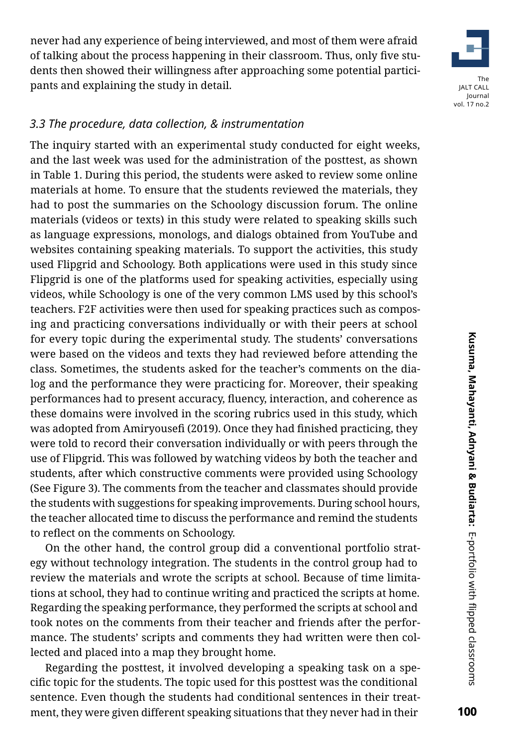never had any experience of being interviewed, and most of them were afraid of talking about the process happening in their classroom. Thus, only five students then showed their willingness after approaching some potential participants and explaining the study in detail.



#### *3.3 The procedure, data collection, & instrumentation*

The inquiry started with an experimental study conducted for eight weeks, and the last week was used for the administration of the posttest, as shown in Table 1. During this period, the students were asked to review some online materials at home. To ensure that the students reviewed the materials, they had to post the summaries on the Schoology discussion forum. The online materials (videos or texts) in this study were related to speaking skills such as language expressions, monologs, and dialogs obtained from YouTube and websites containing speaking materials. To support the activities, this study used Flipgrid and Schoology. Both applications were used in this study since Flipgrid is one of the platforms used for speaking activities, especially using videos, while Schoology is one of the very common LMS used by this school's teachers. F2F activities were then used for speaking practices such as composing and practicing conversations individually or with their peers at school for every topic during the experimental study. The students' conversations were based on the videos and texts they had reviewed before attending the class. Sometimes, the students asked for the teacher's comments on the dialog and the performance they were practicing for. Moreover, their speaking performances had to present accuracy, fluency, interaction, and coherence as these domains were involved in the scoring rubrics used in this study, which was adopted from Amiryousefi (2019). Once they had finished practicing, they were told to record their conversation individually or with peers through the use of Flipgrid. This was followed by watching videos by both the teacher and students, after which constructive comments were provided using Schoology (See Figure 3). The comments from the teacher and classmates should provide the students with suggestions for speaking improvements. During school hours, the teacher allocated time to discuss the performance and remind the students to reflect on the comments on Schoology.

On the other hand, the control group did a conventional portfolio strategy without technology integration. The students in the control group had to review the materials and wrote the scripts at school. Because of time limitations at school, they had to continue writing and practiced the scripts at home. Regarding the speaking performance, they performed the scripts at school and took notes on the comments from their teacher and friends after the performance. The students' scripts and comments they had written were then collected and placed into a map they brought home.

Regarding the posttest, it involved developing a speaking task on a specific topic for the students. The topic used for this posttest was the conditional sentence. Even though the students had conditional sentences in their treatment, they were given different speaking situations that they never had in their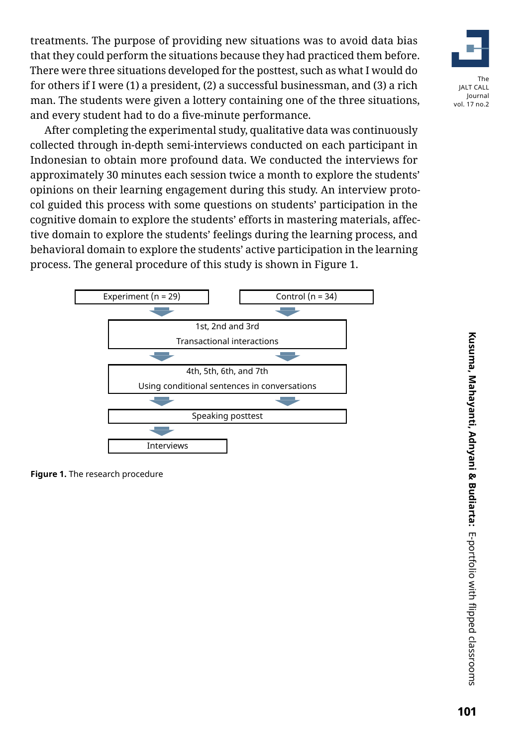treatments. The purpose of providing new situations was to avoid data bias that they could perform the situations because they had practiced them before. There were three situations developed for the posttest, such as what I would do for others if I were (1) a president, (2) a successful businessman, and (3) a rich man. The students were given a lottery containing one of the three situations, and every student had to do a five-minute performance.



After completing the experimental study, qualitative data was continuously collected through in-depth semi-interviews conducted on each participant in Indonesian to obtain more profound data. We conducted the interviews for approximately 30 minutes each session twice a month to explore the students' opinions on their learning engagement during this study. An interview protocol guided this process with some questions on students' participation in the cognitive domain to explore the students' efforts in mastering materials, affective domain to explore the students' feelings during the learning process, and behavioral domain to explore the students' active participation in the learning process. The general procedure of this study is shown in Figure 1.



**Figure 1.** The research procedure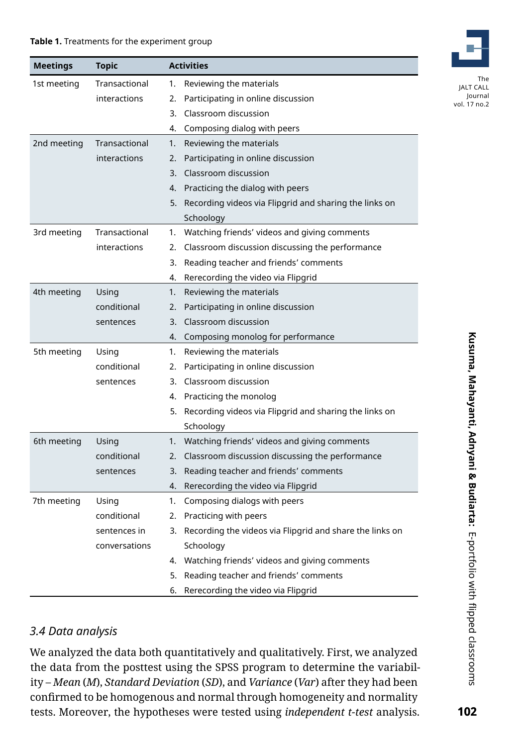#### **Table 1.** Treatments for the experiment group

| <b>Meetings</b> | Topic         |    | <b>Activities</b>                                           |  |  |  |
|-----------------|---------------|----|-------------------------------------------------------------|--|--|--|
| 1st meeting     | Transactional | 1. | Reviewing the materials                                     |  |  |  |
|                 | interactions  | 2. | Participating in online discussion                          |  |  |  |
|                 |               |    | 3. Classroom discussion                                     |  |  |  |
|                 |               |    | 4. Composing dialog with peers                              |  |  |  |
| 2nd meeting     | Transactional | 1. | Reviewing the materials                                     |  |  |  |
|                 | interactions  | 2. | Participating in online discussion                          |  |  |  |
|                 |               |    | 3. Classroom discussion                                     |  |  |  |
|                 |               |    | 4. Practicing the dialog with peers                         |  |  |  |
|                 |               |    | 5. Recording videos via Flipgrid and sharing the links on   |  |  |  |
|                 |               |    | Schoology                                                   |  |  |  |
| 3rd meeting     | Transactional | 1. | Watching friends' videos and giving comments                |  |  |  |
|                 | interactions  | 2. | Classroom discussion discussing the performance             |  |  |  |
|                 |               |    | 3. Reading teacher and friends' comments                    |  |  |  |
|                 |               | 4. | Rerecording the video via Flipgrid                          |  |  |  |
| 4th meeting     | Using<br>1.   |    | Reviewing the materials                                     |  |  |  |
|                 | conditional   | 2. | Participating in online discussion                          |  |  |  |
|                 | sentences     |    | 3. Classroom discussion                                     |  |  |  |
|                 |               |    | 4. Composing monolog for performance                        |  |  |  |
| 5th meeting     | Using         | 1. | Reviewing the materials                                     |  |  |  |
|                 | conditional   |    | 2. Participating in online discussion                       |  |  |  |
|                 | sentences     |    | 3. Classroom discussion                                     |  |  |  |
|                 |               |    | 4. Practicing the monolog                                   |  |  |  |
|                 |               |    | 5. Recording videos via Flipgrid and sharing the links on   |  |  |  |
|                 |               |    | Schoology                                                   |  |  |  |
| 6th meeting     | Using         | 1. | Watching friends' videos and giving comments                |  |  |  |
|                 | conditional   | 2. | Classroom discussion discussing the performance             |  |  |  |
|                 | sentences     |    | 3. Reading teacher and friends' comments                    |  |  |  |
|                 |               |    | 4. Rerecording the video via Flipgrid                       |  |  |  |
| 7th meeting     | Using         | 1. | Composing dialogs with peers                                |  |  |  |
|                 | conditional   |    | 2. Practicing with peers                                    |  |  |  |
|                 | sentences in  |    | 3. Recording the videos via Flipgrid and share the links on |  |  |  |
|                 | conversations |    | Schoology                                                   |  |  |  |
|                 |               |    | 4. Watching friends' videos and giving comments             |  |  |  |
|                 |               |    | 5. Reading teacher and friends' comments                    |  |  |  |
|                 |               |    | 6. Rerecording the video via Flipgrid                       |  |  |  |

#### *3.4 Data analysis*

We analyzed the data both quantitatively and qualitatively. First, we analyzed the data from the posttest using the SPSS program to determine the variability – *Mean* (*M*), *Standard Deviation* (*SD*), and *Variance* (*Var*) after they had been confirmed to be homogenous and normal through homogeneity and normality tests. Moreover, the hypotheses were tested using *independent t-test* analysis.

The JALT CALL Journal vol. 17 no.2

102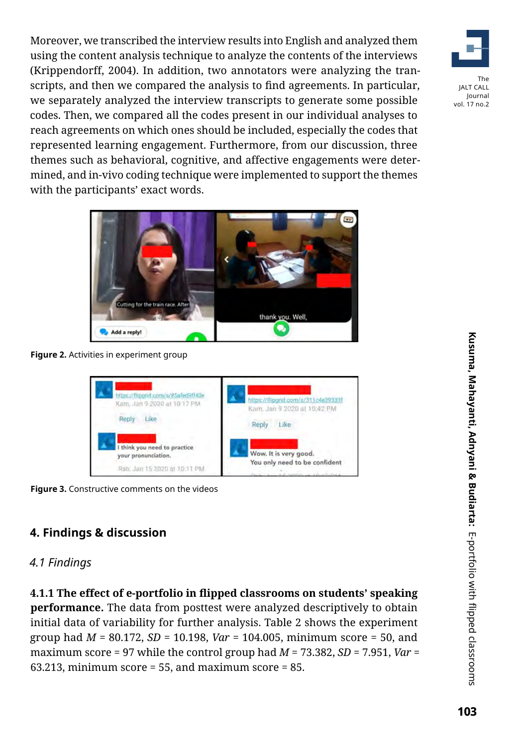Moreover, we transcribed the interview results into English and analyzed them using the content analysis technique to analyze the contents of the interviews (Krippendorff, 2004). In addition, two annotators were analyzing the transcripts, and then we compared the analysis to find agreements. In particular, we separately analyzed the interview transcripts to generate some possible codes. Then, we compared all the codes present in our individual analyses to reach agreements on which ones should be included, especially the codes that represented learning engagement. Furthermore, from our discussion, three themes such as behavioral, cognitive, and affective engagements were determined, and in-vivo coding technique were implemented to support the themes with the participants' exact words.



**Figure 2.** Activities in experiment group



**Figure 3.** Constructive comments on the videos

# **4. Findings & discussion**

#### *4.1 Findings*

**4.1.1 The effect of e-portfolio in flipped classrooms on students' speaking performance.** The data from posttest were analyzed descriptively to obtain initial data of variability for further analysis. Table 2 shows the experiment group had *M* = 80.172, *SD* = 10.198, *Var* = 104.005, minimum score = 50, and maximum score = 97 while the control group had *M* = 73.382, *SD* = 7.951, *Var* = 63.213, minimum score = 55, and maximum score = 85.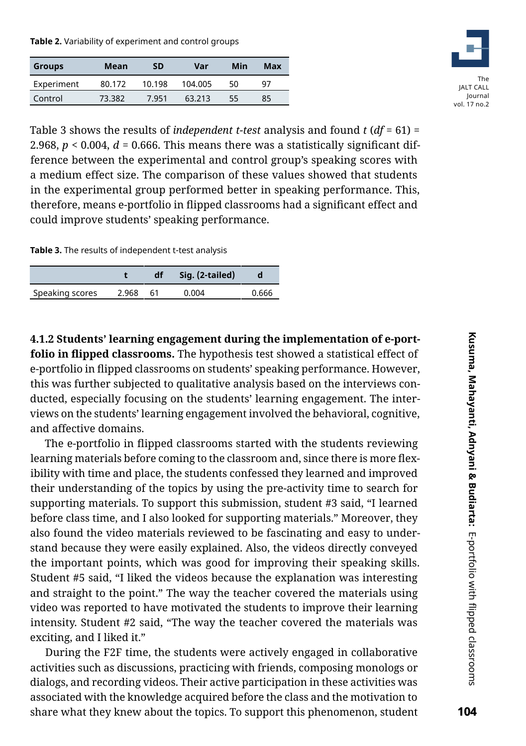**Table 2.** Variability of experiment and control groups

| Groups     | Mean   | SD     | Var     | Min | Max |
|------------|--------|--------|---------|-----|-----|
| Experiment | 80.172 | 10.198 | 104.005 | 50  | 97  |
| Control    | 73.382 | 7.951  | 63 213  | 55  | 85  |



Table 3 shows the results of *independent t-test* analysis and found *t* (*df* = 61) = 2.968, *p* < 0.004, *d =* 0.666. This means there was a statistically significant difference between the experimental and control group's speaking scores with a medium effect size. The comparison of these values showed that students in the experimental group performed better in speaking performance. This, therefore, means e-portfolio in flipped classrooms had a significant effect and could improve students' speaking performance.

**Table 3.** The results of independent t-test analysis

|                 |       | df / | Sig. (2-tailed) |       |
|-----------------|-------|------|-----------------|-------|
| Speaking scores | 2.968 | 61   | 0 004           | 0.666 |

**4.1.2 Students' learning engagement during the implementation of e-portfolio in flipped classrooms.** The hypothesis test showed a statistical effect of e-portfolio in flipped classrooms on students' speaking performance. However, this was further subjected to qualitative analysis based on the interviews conducted, especially focusing on the students' learning engagement. The interviews on the students' learning engagement involved the behavioral, cognitive, and affective domains.

The e-portfolio in flipped classrooms started with the students reviewing learning materials before coming to the classroom and, since there is more flexibility with time and place, the students confessed they learned and improved their understanding of the topics by using the pre-activity time to search for supporting materials. To support this submission, student #3 said, "I learned before class time, and I also looked for supporting materials." Moreover, they also found the video materials reviewed to be fascinating and easy to understand because they were easily explained. Also, the videos directly conveyed the important points, which was good for improving their speaking skills. Student #5 said, "I liked the videos because the explanation was interesting and straight to the point." The way the teacher covered the materials using video was reported to have motivated the students to improve their learning intensity. Student #2 said, "The way the teacher covered the materials was exciting, and I liked it."

During the F2F time, the students were actively engaged in collaborative activities such as discussions, practicing with friends, composing monologs or dialogs, and recording videos. Their active participation in these activities was associated with the knowledge acquired before the class and the motivation to share what they knew about the topics. To support this phenomenon, student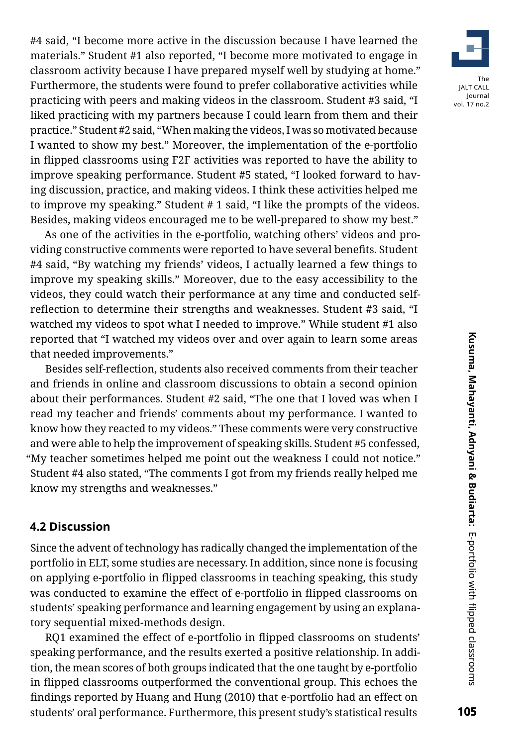#4 said, "I become more active in the discussion because I have learned the materials." Student #1 also reported, "I become more motivated to engage in classroom activity because I have prepared myself well by studying at home." Furthermore, the students were found to prefer collaborative activities while practicing with peers and making videos in the classroom. Student #3 said, "I liked practicing with my partners because I could learn from them and their practice." Student #2 said, "When making the videos, I was so motivated because I wanted to show my best." Moreover, the implementation of the e-portfolio in flipped classrooms using F2F activities was reported to have the ability to improve speaking performance. Student #5 stated, "I looked forward to having discussion, practice, and making videos. I think these activities helped me to improve my speaking." Student # 1 said, "I like the prompts of the videos. Besides, making videos encouraged me to be well-prepared to show my best."

As one of the activities in the e-portfolio, watching others' videos and providing constructive comments were reported to have several benefits. Student #4 said, "By watching my friends' videos, I actually learned a few things to improve my speaking skills." Moreover, due to the easy accessibility to the videos, they could watch their performance at any time and conducted selfreflection to determine their strengths and weaknesses. Student #3 said, "I watched my videos to spot what I needed to improve." While student #1 also reported that "I watched my videos over and over again to learn some areas that needed improvements."

Besides self-reflection, students also received comments from their teacher and friends in online and classroom discussions to obtain a second opinion about their performances. Student #2 said, "The one that I loved was when I read my teacher and friends' comments about my performance. I wanted to know how they reacted to my videos." These comments were very constructive and were able to help the improvement of speaking skills. Student #5 confessed, "My teacher sometimes helped me point out the weakness I could not notice." Student #4 also stated, "The comments I got from my friends really helped me know my strengths and weaknesses."

#### **4.2 Discussion**

Since the advent of technology has radically changed the implementation of the portfolio in ELT, some studies are necessary. In addition, since none is focusing on applying e-portfolio in flipped classrooms in teaching speaking, this study was conducted to examine the effect of e-portfolio in flipped classrooms on students' speaking performance and learning engagement by using an explanatory sequential mixed-methods design.

RQ1 examined the effect of e-portfolio in flipped classrooms on students' speaking performance, and the results exerted a positive relationship. In addition, the mean scores of both groups indicated that the one taught by e-portfolio in flipped classrooms outperformed the conventional group. This echoes the findings reported by Huang and Hung (2010) that e-portfolio had an effect on students' oral performance. Furthermore, this present study's statistical results

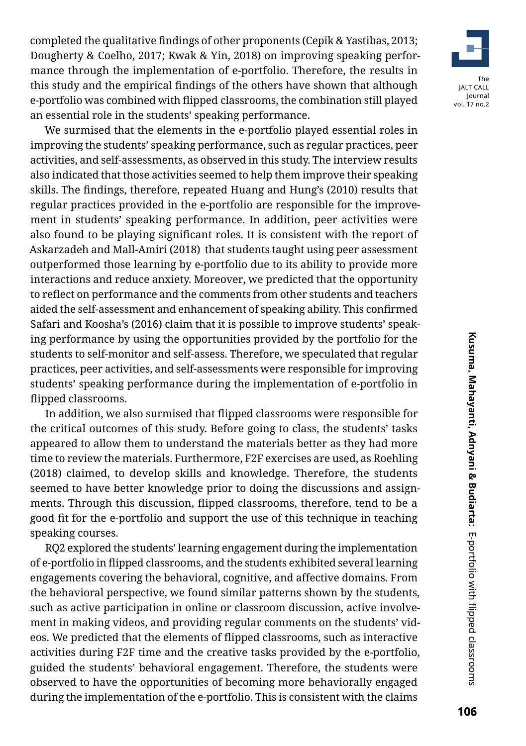completed the qualitative findings of other proponents (Cepik & Yastibas, 2013; Dougherty & Coelho, 2017; Kwak & Yin, 2018) on improving speaking performance through the implementation of e-portfolio. Therefore, the results in this study and the empirical findings of the others have shown that although e-portfolio was combined with flipped classrooms, the combination still played an essential role in the students' speaking performance.

We surmised that the elements in the e-portfolio played essential roles in improving the students' speaking performance, such as regular practices, peer activities, and self-assessments, as observed in this study. The interview results also indicated that those activities seemed to help them improve their speaking skills. The findings, therefore, repeated Huang and Hung's (2010) results that regular practices provided in the e-portfolio are responsible for the improvement in students' speaking performance. In addition, peer activities were also found to be playing significant roles. It is consistent with the report of Askarzadeh and Mall-Amiri (2018) that students taught using peer assessment outperformed those learning by e-portfolio due to its ability to provide more interactions and reduce anxiety. Moreover, we predicted that the opportunity to reflect on performance and the comments from other students and teachers aided the self-assessment and enhancement of speaking ability. This confirmed Safari and Koosha's (2016) claim that it is possible to improve students' speaking performance by using the opportunities provided by the portfolio for the students to self-monitor and self-assess. Therefore, we speculated that regular practices, peer activities, and self-assessments were responsible for improving students' speaking performance during the implementation of e-portfolio in flipped classrooms.

In addition, we also surmised that flipped classrooms were responsible for the critical outcomes of this study. Before going to class, the students' tasks appeared to allow them to understand the materials better as they had more time to review the materials. Furthermore, F2F exercises are used, as Roehling (2018) claimed, to develop skills and knowledge. Therefore, the students seemed to have better knowledge prior to doing the discussions and assignments. Through this discussion, flipped classrooms, therefore, tend to be a good fit for the e-portfolio and support the use of this technique in teaching speaking courses.

RQ2 explored the students' learning engagement during the implementation of e-portfolio in flipped classrooms, and the students exhibited several learning engagements covering the behavioral, cognitive, and affective domains. From the behavioral perspective, we found similar patterns shown by the students, such as active participation in online or classroom discussion, active involvement in making videos, and providing regular comments on the students' videos. We predicted that the elements of flipped classrooms, such as interactive activities during F2F time and the creative tasks provided by the e-portfolio, guided the students' behavioral engagement. Therefore, the students were observed to have the opportunities of becoming more behaviorally engaged during the implementation of the e-portfolio. This is consistent with the claims

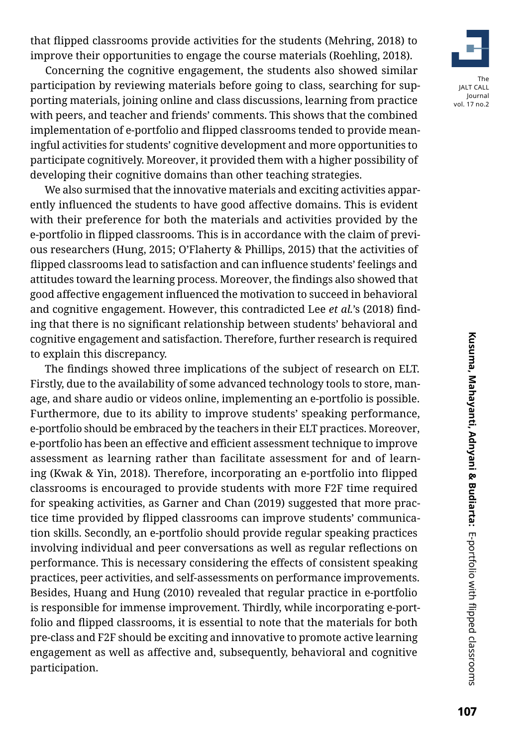that flipped classrooms provide activities for the students (Mehring, 2018) to improve their opportunities to engage the course materials (Roehling, 2018).

Concerning the cognitive engagement, the students also showed similar participation by reviewing materials before going to class, searching for supporting materials, joining online and class discussions, learning from practice with peers, and teacher and friends' comments. This shows that the combined implementation of e-portfolio and flipped classrooms tended to provide meaningful activities for students' cognitive development and more opportunities to participate cognitively. Moreover, it provided them with a higher possibility of developing their cognitive domains than other teaching strategies.

We also surmised that the innovative materials and exciting activities apparently influenced the students to have good affective domains. This is evident with their preference for both the materials and activities provided by the e-portfolio in flipped classrooms. This is in accordance with the claim of previous researchers (Hung, 2015; O'Flaherty & Phillips, 2015) that the activities of flipped classrooms lead to satisfaction and can influence students' feelings and attitudes toward the learning process. Moreover, the findings also showed that good affective engagement influenced the motivation to succeed in behavioral and cognitive engagement. However, this contradicted Lee *et al.*'s (2018) finding that there is no significant relationship between students' behavioral and cognitive engagement and satisfaction. Therefore, further research is required to explain this discrepancy.

The findings showed three implications of the subject of research on ELT. Firstly, due to the availability of some advanced technology tools to store, manage, and share audio or videos online, implementing an e-portfolio is possible. Furthermore, due to its ability to improve students' speaking performance, e-portfolio should be embraced by the teachers in their ELT practices. Moreover, e-portfolio has been an effective and efficient assessment technique to improve assessment as learning rather than facilitate assessment for and of learning (Kwak & Yin, 2018). Therefore, incorporating an e-portfolio into flipped classrooms is encouraged to provide students with more F2F time required for speaking activities, as Garner and Chan (2019) suggested that more practice time provided by flipped classrooms can improve students' communication skills. Secondly, an e-portfolio should provide regular speaking practices involving individual and peer conversations as well as regular reflections on performance. This is necessary considering the effects of consistent speaking practices, peer activities, and self-assessments on performance improvements. Besides, Huang and Hung (2010) revealed that regular practice in e-portfolio is responsible for immense improvement. Thirdly, while incorporating e-portfolio and flipped classrooms, it is essential to note that the materials for both pre-class and F2F should be exciting and innovative to promote active learning engagement as well as affective and, subsequently, behavioral and cognitive participation.

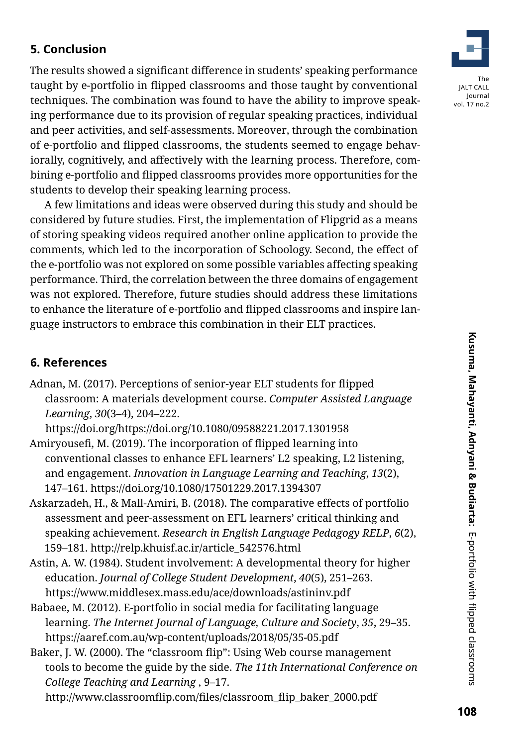# **5. Conclusion**

The results showed a significant difference in students' speaking performance taught by e-portfolio in flipped classrooms and those taught by conventional techniques. The combination was found to have the ability to improve speaking performance due to its provision of regular speaking practices, individual and peer activities, and self-assessments. Moreover, through the combination of e-portfolio and flipped classrooms, the students seemed to engage behaviorally, cognitively, and affectively with the learning process. Therefore, combining e-portfolio and flipped classrooms provides more opportunities for the students to develop their speaking learning process.

A few limitations and ideas were observed during this study and should be considered by future studies. First, the implementation of Flipgrid as a means of storing speaking videos required another online application to provide the comments, which led to the incorporation of Schoology. Second, the effect of the e-portfolio was not explored on some possible variables affecting speaking performance. Third, the correlation between the three domains of engagement was not explored. Therefore, future studies should address these limitations to enhance the literature of e-portfolio and flipped classrooms and inspire language instructors to embrace this combination in their ELT practices.

#### **6. References**

Adnan, M. (2017). Perceptions of senior-year ELT students for flipped classroom: A materials development course. *Computer Assisted Language Learning*, *30*(3–4), 204–222.

https://doi.org/https://doi.org/10.1080/09588221.2017.1301958

- Amiryousefi, M. (2019). The incorporation of flipped learning into conventional classes to enhance EFL learners' L2 speaking, L2 listening, and engagement. *Innovation in Language Learning and Teaching*, *13*(2), 147–161. https://doi.org/10.1080/17501229.2017.1394307
- Askarzadeh, H., & Mall-Amiri, B. (2018). The comparative effects of portfolio assessment and peer-assessment on EFL learners' critical thinking and speaking achievement. *Research in English Language Pedagogy RELP*, *6*(2), 159–181. http://relp.khuisf.ac.ir/article\_542576.html
- Astin, A. W. (1984). Student involvement: A developmental theory for higher education. *Journal of College Student Development*, *40*(5), 251–263. https://www.middlesex.mass.edu/ace/downloads/astininv.pdf
- Babaee, M. (2012). E-portfolio in social media for facilitating language learning. *The Internet Journal of Language, Culture and Society*, *35*, 29–35. https://aaref.com.au/wp-content/uploads/2018/05/35-05.pdf
- Baker, J. W. (2000). The "classroom flip": Using Web course management tools to become the guide by the side. *The 11th International Conference on College Teaching and Learning* , 9–17.

http://www.classroomflip.com/files/classroom\_flip\_baker\_2000.pdf

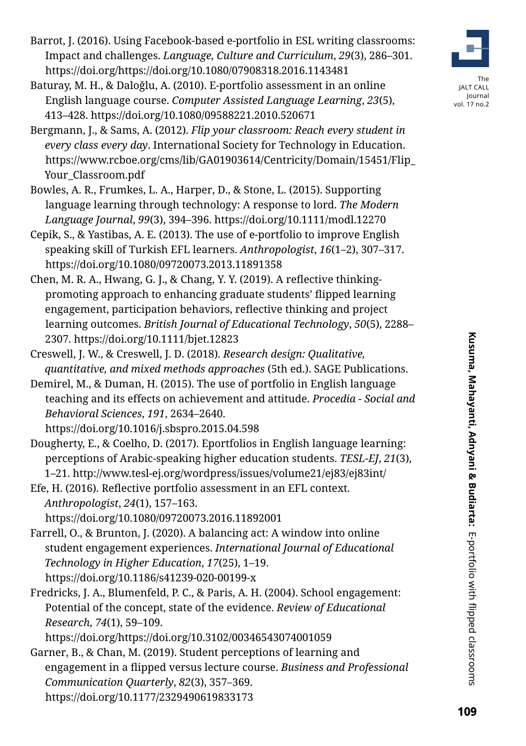- Barrot, J. (2016). Using Facebook-based e-portfolio in ESL writing classrooms: Impact and challenges. *Language, Culture and Curriculum*, *29*(3), 286–301. https://doi.org/https://doi.org/10.1080/07908318.2016.1143481
- Baturay, M. H., & Daloǧlu, A. (2010). E-portfolio assessment in an online English language course. *Computer Assisted Language Learning*, *23*(5), 413–428. https://doi.org/10.1080/09588221.2010.520671
- Bergmann, J., & Sams, A. (2012). *Flip your classroom: Reach every student in every class every day*. International Society for Technology in Education. [https://www.rcboe.org/cms/lib/GA01903614/Centricity/Domain/15451/Flip\\_](https://www.rcboe.org/cms/lib/GA01903614/Centricity/Domain/15451/Flip_Your_Classroom.pdf ) Your Classroom.pdf
- Bowles, A. R., Frumkes, L. A., Harper, D., & Stone, L. (2015). Supporting language learning through technology: A response to lord. *The Modern Language Journal*, *99*(3), 394–396. https://doi.org/10.1111/modl.12270
- Cepik, S., & Yastibas, A. E. (2013). The use of e-portfolio to improve English speaking skill of Turkish EFL learners. *Anthropologist*, *16*(1–2), 307–317. https://doi.org/10.1080/09720073.2013.11891358
- Chen, M. R. A., Hwang, G. J., & Chang, Y. Y. (2019). A reflective thinkingpromoting approach to enhancing graduate students' flipped learning engagement, participation behaviors, reflective thinking and project learning outcomes. *British Journal of Educational Technology*, *50*(5), 2288– 2307. https://doi.org/10.1111/bjet.12823
- Creswell, J. W., & Creswell, J. D. (2018). *Research design: Qualitative, quantitative, and mixed methods approaches* (5th ed.). SAGE Publications.
- Demirel, M., & Duman, H. (2015). The use of portfolio in English language teaching and its effects on achievement and attitude. *Procedia - Social and Behavioral Sciences*, *191*, 2634–2640.

https://doi.org/10.1016/j.sbspro.2015.04.598

- Dougherty, E., & Coelho, D. (2017). Eportfolios in English language learning: perceptions of Arabic-speaking higher education students. *TESL-EJ*, *21*(3), 1–21. http://www.tesl-ej.org/wordpress/issues/volume21/ej83/ej83int/
- Efe, H. (2016). Reflective portfolio assessment in an EFL context. *Anthropologist*, *24*(1), 157–163.

https://doi.org/10.1080/09720073.2016.11892001

- Farrell, O., & Brunton, J. (2020). A balancing act: A window into online student engagement experiences. *International Journal of Educational Technology in Higher Education*, *17*(25), 1–19. https://doi.org/10.1186/s41239-020-00199-x
- Fredricks, J. A., Blumenfeld, P. C., & Paris, A. H. (2004). School engagement: Potential of the concept, state of the evidence. *Review of Educational Research*, *74*(1), 59–109.

https://doi.org/https://doi.org/10.3102/00346543074001059

Garner, B., & Chan, M. (2019). Student perceptions of learning and engagement in a flipped versus lecture course. *Business and Professional Communication Quarterly*, *82*(3), 357–369. https://doi.org/10.1177/2329490619833173



The JALT CALL Journal vol. 17 no.2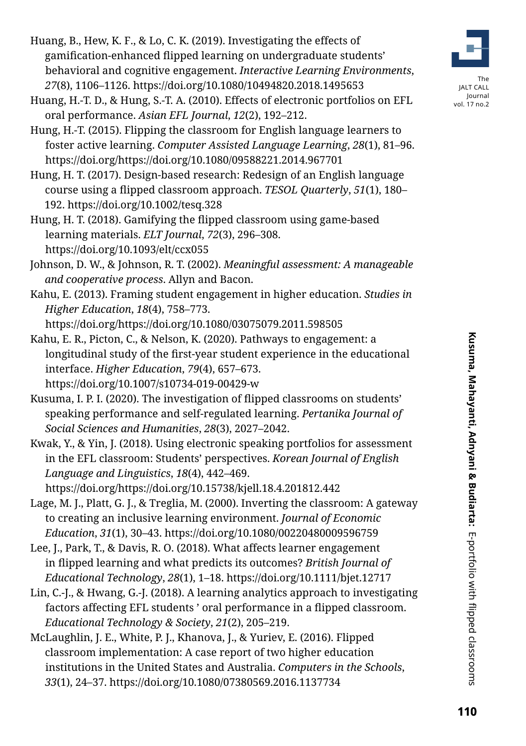- Huang, B., Hew, K. F., & Lo, C. K. (2019). Investigating the effects of gamification-enhanced flipped learning on undergraduate students' behavioral and cognitive engagement. *Interactive Learning Environments*, *27*(8), 1106–1126. https://doi.org/10.1080/10494820.2018.1495653
- Huang, H.-T. D., & Hung, S.-T. A. (2010). Effects of electronic portfolios on EFL oral performance. *Asian EFL Journal*, *12*(2), 192–212.
- Hung, H.-T. (2015). Flipping the classroom for English language learners to foster active learning. *Computer Assisted Language Learning*, *28*(1), 81–96. https://doi.org/https://doi.org/10.1080/09588221.2014.967701
- Hung, H. T. (2017). Design-based research: Redesign of an English language course using a flipped classroom approach. *TESOL Quarterly*, *51*(1), 180– 192. https://doi.org/10.1002/tesq.328
- Hung, H. T. (2018). Gamifying the flipped classroom using game-based learning materials. *ELT Journal*, *72*(3), 296–308. https://doi.org/10.1093/elt/ccx055
- Johnson, D. W., & Johnson, R. T. (2002). *Meaningful assessment: A manageable and cooperative process*. Allyn and Bacon.
- Kahu, E. (2013). Framing student engagement in higher education. *Studies in Higher Education*, *18*(4), 758–773.

https://doi.org/https://doi.org/10.1080/03075079.2011.598505

- Kahu, E. R., Picton, C., & Nelson, K. (2020). Pathways to engagement: a longitudinal study of the first-year student experience in the educational interface. *Higher Education*, *79*(4), 657–673. https://doi.org/10.1007/s10734-019-00429-w
- Kusuma, I. P. I. (2020). The investigation of flipped classrooms on students' speaking performance and self-regulated learning. *Pertanika Journal of Social Sciences and Humanities*, *28*(3), 2027–2042.
- Kwak, Y., & Yin, J. (2018). Using electronic speaking portfolios for assessment in the EFL classroom: Students' perspectives. *Korean Journal of English Language and Linguistics*, *18*(4), 442–469.

https://doi.org/https://doi.org/10.15738/kjell.18.4.201812.442

- Lage, M. J., Platt, G. J., & Treglia, M. (2000). Inverting the classroom: A gateway to creating an inclusive learning environment. *Journal of Economic Education*, *31*(1), 30–43. https://doi.org/10.1080/00220480009596759
- Lee, J., Park, T., & Davis, R. O. (2018). What affects learner engagement in flipped learning and what predicts its outcomes? *British Journal of Educational Technology*, *28*(1), 1–18. https://doi.org/10.1111/bjet.12717
- Lin, C.-J., & Hwang, G.-J. (2018). A learning analytics approach to investigating factors affecting EFL students ' oral performance in a flipped classroom. *Educational Technology & Society*, *21*(2), 205–219.
- McLaughlin, J. E., White, P. J., Khanova, J., & Yuriev, E. (2016). Flipped classroom implementation: A case report of two higher education institutions in the United States and Australia. *Computers in the Schools*, *33*(1), 24–37. https://doi.org/10.1080/07380569.2016.1137734



The JALT CALL Journal vol. 17 no.2